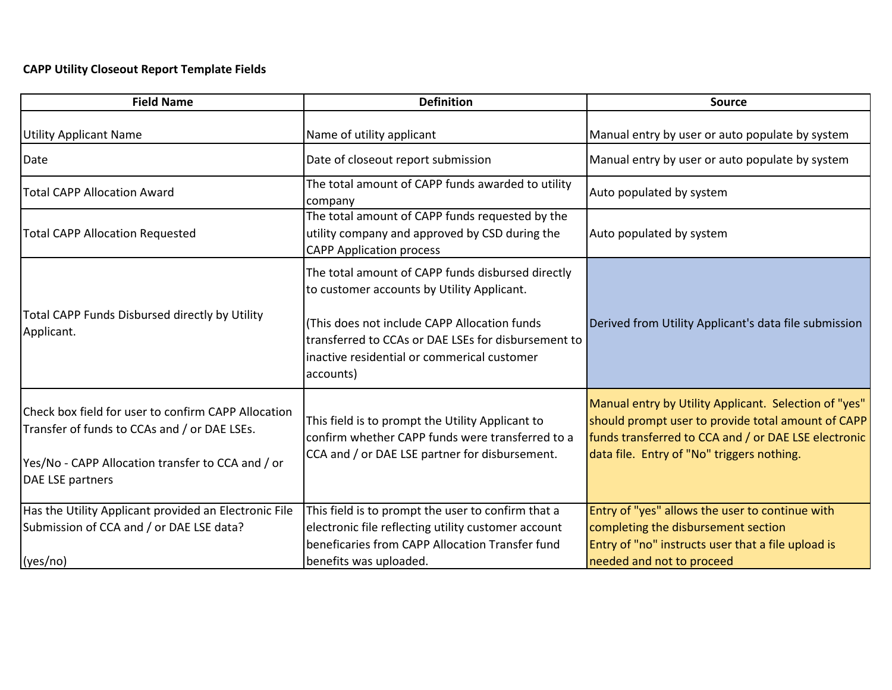## **CAPP Utility Closeout Report Template Fields**

| <b>Field Name</b>                                                                                                                                                            | <b>Definition</b>                                                                                                                                                                                                                                                   | <b>Source</b>                                                                                                                                                                                                     |
|------------------------------------------------------------------------------------------------------------------------------------------------------------------------------|---------------------------------------------------------------------------------------------------------------------------------------------------------------------------------------------------------------------------------------------------------------------|-------------------------------------------------------------------------------------------------------------------------------------------------------------------------------------------------------------------|
| <b>Utility Applicant Name</b>                                                                                                                                                | Name of utility applicant                                                                                                                                                                                                                                           | Manual entry by user or auto populate by system                                                                                                                                                                   |
| Date                                                                                                                                                                         | Date of closeout report submission                                                                                                                                                                                                                                  | Manual entry by user or auto populate by system                                                                                                                                                                   |
| <b>Total CAPP Allocation Award</b>                                                                                                                                           | The total amount of CAPP funds awarded to utility<br>company                                                                                                                                                                                                        | Auto populated by system                                                                                                                                                                                          |
| <b>Total CAPP Allocation Requested</b>                                                                                                                                       | The total amount of CAPP funds requested by the<br>utility company and approved by CSD during the<br><b>CAPP Application process</b>                                                                                                                                | Auto populated by system                                                                                                                                                                                          |
| Total CAPP Funds Disbursed directly by Utility<br>Applicant.                                                                                                                 | The total amount of CAPP funds disbursed directly<br>to customer accounts by Utility Applicant.<br>(This does not include CAPP Allocation funds)<br>transferred to CCAs or DAE LSEs for disbursement to<br>inactive residential or commerical customer<br>accounts) | Derived from Utility Applicant's data file submission                                                                                                                                                             |
| Check box field for user to confirm CAPP Allocation<br>Transfer of funds to CCAs and / or DAE LSEs.<br>Yes/No - CAPP Allocation transfer to CCA and / or<br>DAE LSE partners | This field is to prompt the Utility Applicant to<br>confirm whether CAPP funds were transferred to a<br>CCA and / or DAE LSE partner for disbursement.                                                                                                              | Manual entry by Utility Applicant. Selection of "yes"<br>should prompt user to provide total amount of CAPP<br>funds transferred to CCA and / or DAE LSE electronic<br>data file. Entry of "No" triggers nothing. |
| Has the Utility Applicant provided an Electronic File<br>Submission of CCA and / or DAE LSE data?<br>(yes/no)                                                                | This field is to prompt the user to confirm that a<br>electronic file reflecting utility customer account<br>beneficaries from CAPP Allocation Transfer fund<br>benefits was uploaded.                                                                              | Entry of "yes" allows the user to continue with<br>completing the disbursement section<br>Entry of "no" instructs user that a file upload is<br>needed and not to proceed                                         |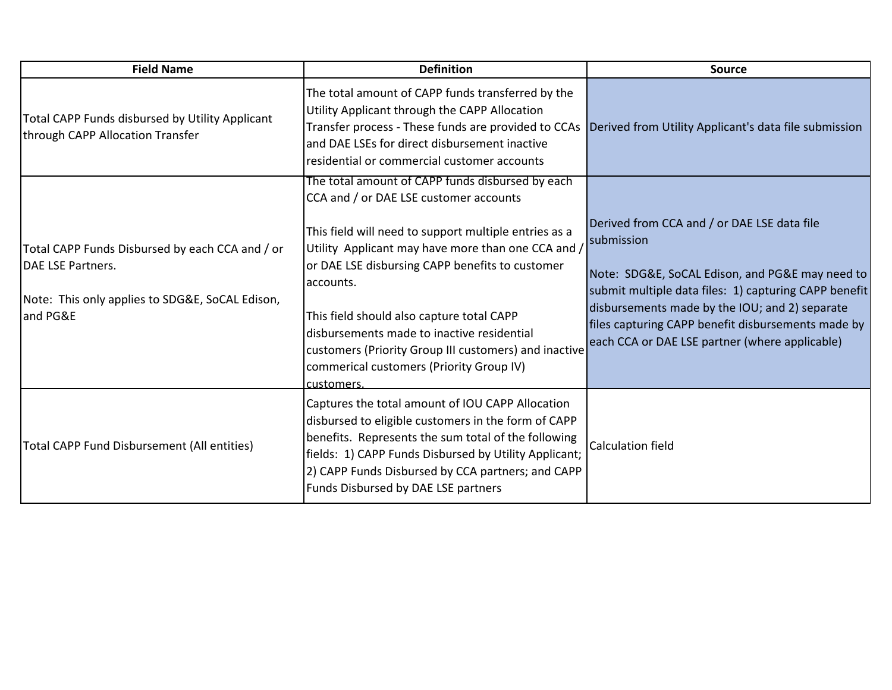| <b>Field Name</b>                                                                                                                   | <b>Definition</b>                                                                                                                                                                                                                                                                                                                                                                         | <b>Source</b>                                                                                                                                                                                                                                                                                                                   |
|-------------------------------------------------------------------------------------------------------------------------------------|-------------------------------------------------------------------------------------------------------------------------------------------------------------------------------------------------------------------------------------------------------------------------------------------------------------------------------------------------------------------------------------------|---------------------------------------------------------------------------------------------------------------------------------------------------------------------------------------------------------------------------------------------------------------------------------------------------------------------------------|
| Total CAPP Funds disbursed by Utility Applicant<br>through CAPP Allocation Transfer                                                 | The total amount of CAPP funds transferred by the<br>Utility Applicant through the CAPP Allocation<br>Transfer process - These funds are provided to CCAs<br>and DAE LSEs for direct disbursement inactive<br>residential or commercial customer accounts                                                                                                                                 | Derived from Utility Applicant's data file submission                                                                                                                                                                                                                                                                           |
|                                                                                                                                     | The total amount of CAPP funds disbursed by each<br>CCA and / or DAE LSE customer accounts                                                                                                                                                                                                                                                                                                |                                                                                                                                                                                                                                                                                                                                 |
| Total CAPP Funds Disbursed by each CCA and / or<br>DAE LSE Partners.<br>Note: This only applies to SDG&E, SoCAL Edison,<br>and PG&E | This field will need to support multiple entries as a<br>Utility Applicant may have more than one CCA and /<br>or DAE LSE disbursing CAPP benefits to customer<br>accounts.<br>This field should also capture total CAPP<br>disbursements made to inactive residential<br>customers (Priority Group III customers) and inactive<br>commerical customers (Priority Group IV)<br>customers. | Derived from CCA and / or DAE LSE data file<br>submission<br>Note: SDG&E, SoCAL Edison, and PG&E may need to<br>submit multiple data files: 1) capturing CAPP benefit<br>disbursements made by the IOU; and 2) separate<br>files capturing CAPP benefit disbursements made by<br>each CCA or DAE LSE partner (where applicable) |
| Total CAPP Fund Disbursement (All entities)                                                                                         | Captures the total amount of IOU CAPP Allocation<br>disbursed to eligible customers in the form of CAPP<br>benefits. Represents the sum total of the following<br>fields: 1) CAPP Funds Disbursed by Utility Applicant;<br>2) CAPP Funds Disbursed by CCA partners; and CAPP<br>Funds Disbursed by DAE LSE partners                                                                       | <b>Calculation field</b>                                                                                                                                                                                                                                                                                                        |